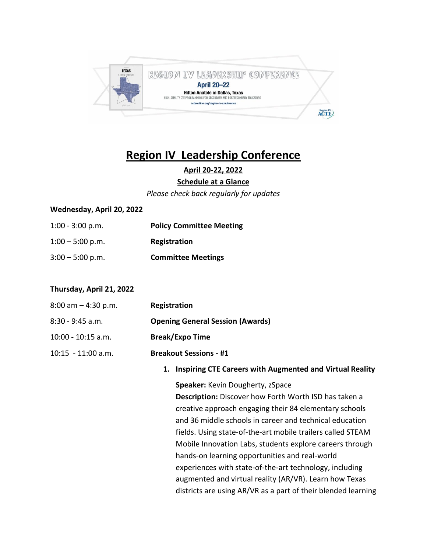

# **Region IV Leadership Conference**

**April 20-22, 2022**

#### **Schedule at a Glance**

*Please check back regularly for updates*

#### **Wednesday, April 20, 2022**

1:00 - 3:00 p.m. **Policy Committee Meeting** 1:00 – 5:00 p.m. **Registration** 3:00 – 5:00 p.m. **Committee Meetings**

#### **Thursday, April 21, 2022**

| $8:00$ am $-4:30$ p.m. | Registration                            |
|------------------------|-----------------------------------------|
| 8:30 - 9:45 a.m.       | <b>Opening General Session (Awards)</b> |
| 10:00 - 10:15 a.m.     | <b>Break/Expo Time</b>                  |
| 10:15 - 11:00 a.m.     | <b>Breakout Sessions - #1</b>           |

**1. Inspiring CTE Careers with Augmented and Virtual Reality**

**Speaker:** Kevin Dougherty, zSpace

**Description:** Discover how Forth Worth ISD has taken a creative approach engaging their 84 elementary schools and 36 middle schools in career and technical education fields. Using state-of-the-art mobile trailers called STEAM Mobile Innovation Labs, students explore careers through hands-on learning opportunities and real-world experiences with state-of-the-art technology, including augmented and virtual reality (AR/VR). Learn how Texas districts are using AR/VR as a part of their blended learning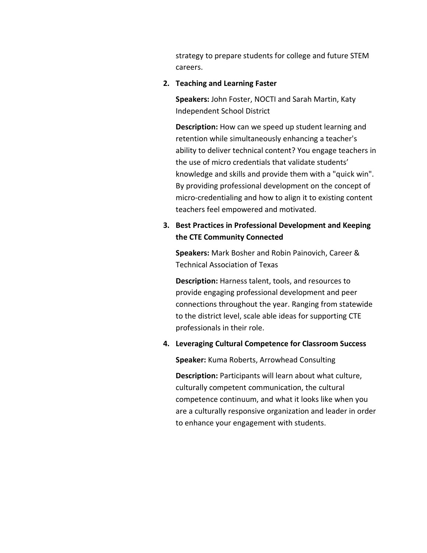strategy to prepare students for college and future STEM careers.

#### **2. Teaching and Learning Faster**

**Speakers:** John Foster, NOCTI and Sarah Martin, Katy Independent School District

**Description:** How can we speed up student learning and retention while simultaneously enhancing a teacher's ability to deliver technical content? You engage teachers in the use of micro credentials that validate students' knowledge and skills and provide them with a "quick win". By providing professional development on the concept of micro-credentialing and how to align it to existing content teachers feel empowered and motivated.

# **3. Best Practices in Professional Development and Keeping the CTE Community Connected**

**Speakers:** Mark Bosher and Robin Painovich, Career & Technical Association of Texas

**Description:** Harness talent, tools, and resources to provide engaging professional development and peer connections throughout the year. Ranging from statewide to the district level, scale able ideas for supporting CTE professionals in their role.

#### **4. Leveraging Cultural Competence for Classroom Success**

**Speaker:** Kuma Roberts, Arrowhead Consulting

**Description:** Participants will learn about what culture, culturally competent communication, the cultural competence continuum, and what it looks like when you are a culturally responsive organization and leader in order to enhance your engagement with students.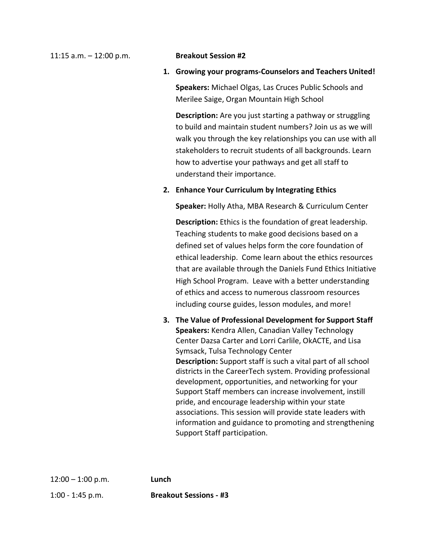11:15 a.m. – 12:00 p.m. **Breakout Session #2**

**1. Growing your programs-Counselors and Teachers United!**

**Speakers:** Michael Olgas, Las Cruces Public Schools and Merilee Saige, Organ Mountain High School

**Description:** Are you just starting a pathway or struggling to build and maintain student numbers? Join us as we will walk you through the key relationships you can use with all stakeholders to recruit students of all backgrounds. Learn how to advertise your pathways and get all staff to understand their importance.

#### **2. Enhance Your Curriculum by Integrating Ethics**

**Speaker:** Holly Atha, MBA Research & Curriculum Center

**Description:** Ethics is the foundation of great leadership. Teaching students to make good decisions based on a defined set of values helps form the core foundation of ethical leadership. Come learn about the ethics resources that are available through the Daniels Fund Ethics Initiative High School Program. Leave with a better understanding of ethics and access to numerous classroom resources including course guides, lesson modules, and more!

**3. The Value of Professional Development for Support Staff Speakers:** Kendra Allen, Canadian Valley Technology Center Dazsa Carter and Lorri Carlile, OkACTE, and Lisa Symsack, Tulsa Technology Center **Description:** Support staff is such a vital part of all school districts in the CareerTech system. Providing professional development, opportunities, and networking for your Support Staff members can increase involvement, instill pride, and encourage leadership within your state associations. This session will provide state leaders with information and guidance to promoting and strengthening Support Staff participation.

12:00 – 1:00 p.m. **Lunch**

1:00 - 1:45 p.m. **Breakout Sessions - #3**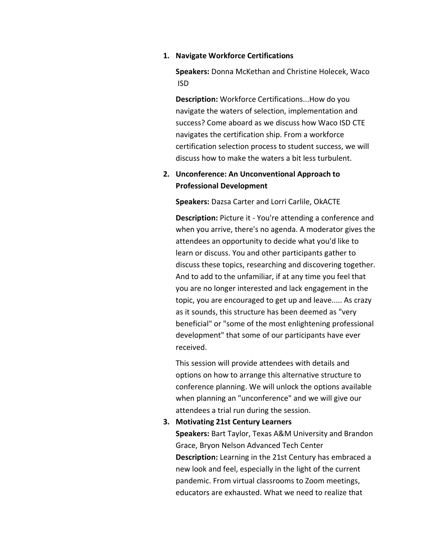#### **1. Navigate Workforce Certifications**

**Speakers:** Donna McKethan and Christine Holecek, Waco ISD

**Description:** Workforce Certifications...How do you navigate the waters of selection, implementation and success? Come aboard as we discuss how Waco ISD CTE navigates the certification ship. From a workforce certification selection process to student success, we will discuss how to make the waters a bit less turbulent.

# **2. Unconference: An Unconventional Approach to Professional Development**

**Speakers:** Dazsa Carter and Lorri Carlile, OkACTE

**Description:** Picture it - You're attending a conference and when you arrive, there's no agenda. A moderator gives the attendees an opportunity to decide what you'd like to learn or discuss. You and other participants gather to discuss these topics, researching and discovering together. And to add to the unfamiliar, if at any time you feel that you are no longer interested and lack engagement in the topic, you are encouraged to get up and leave..... As crazy as it sounds, this structure has been deemed as "very beneficial" or "some of the most enlightening professional development" that some of our participants have ever received.

This session will provide attendees with details and options on how to arrange this alternative structure to conference planning. We will unlock the options available when planning an "unconference" and we will give our attendees a trial run during the session.

#### **3. Motivating 21st Century Learners**

**Speakers:** Bart Taylor, Texas A&M University and Brandon Grace, Bryon Nelson Advanced Tech Center **Description:** Learning in the 21st Century has embraced a new look and feel, especially in the light of the current pandemic. From virtual classrooms to Zoom meetings, educators are exhausted. What we need to realize that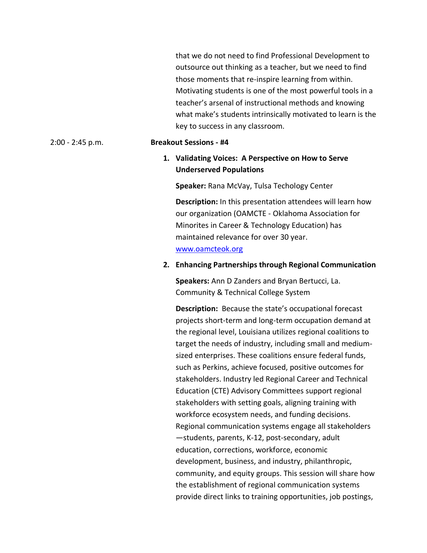|                    |                               | that we do not need to find Professional Development to<br>outsource out thinking as a teacher, but we need to find<br>those moments that re-inspire learning from within.<br>Motivating students is one of the most powerful tools in a<br>teacher's arsenal of instructional methods and knowing<br>what make's students intrinsically motivated to learn is the<br>key to success in any classroom. |  |
|--------------------|-------------------------------|--------------------------------------------------------------------------------------------------------------------------------------------------------------------------------------------------------------------------------------------------------------------------------------------------------------------------------------------------------------------------------------------------------|--|
| $2:00 - 2:45$ p.m. | <b>Breakout Sessions - #4</b> |                                                                                                                                                                                                                                                                                                                                                                                                        |  |
|                    |                               | 1. Validating Voices: A Perspective on How to Serve<br><b>Underserved Populations</b>                                                                                                                                                                                                                                                                                                                  |  |
|                    |                               | Speaker: Rana McVay, Tulsa Techology Center                                                                                                                                                                                                                                                                                                                                                            |  |
|                    |                               | Description: In this presentation attendees will learn how<br>our organization (OAMCTE - Oklahoma Association for<br>Minorites in Career & Technology Education) has<br>maintained relevance for over 30 year.<br>www.oamcteok.org                                                                                                                                                                     |  |
|                    |                               | 2. Enhancing Partnerships through Regional Communication                                                                                                                                                                                                                                                                                                                                               |  |
|                    |                               | Speakers: Ann D Zanders and Bryan Bertucci, La.<br>Community & Technical College System                                                                                                                                                                                                                                                                                                                |  |
|                    |                               | <b>Description:</b> Because the state's occupational forecast<br>projects short-term and long-term occupation demand at<br>the regional level, Louisiana utilizes regional coalitions to<br>target the needs of industry, including small and medium-<br>sized enterprises. These coalitions ensure federal funds.                                                                                     |  |

tederal funds, such as Perkins, achieve focused, positive outcomes for stakeholders. Industry led Regional Career and Technical Education (CTE) Advisory Committees support regional stakeholders with setting goals, aligning training with workforce ecosystem needs, and funding decisions. Regional communication systems engage all stakeholders —students, parents, K-12, post-secondary, adult education, corrections, workforce, economic development, business, and industry, philanthropic, community, and equity groups. This session will share how the establishment of regional communication systems provide direct links to training opportunities, job postings,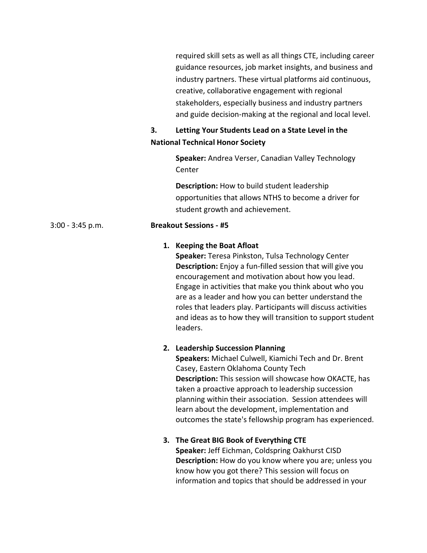required skill sets as well as all things CTE, including career guidance resources, job market insights, and business and industry partners. These virtual platforms aid continuous, creative, collaborative engagement with regional stakeholders, especially business and industry partners and guide decision-making at the regional and local level.

# **3. Letting Your Students Lead on a State Level in the National Technical Honor Society**

**Speaker:** Andrea Verser, Canadian Valley Technology Center

**Description:** How to build student leadership opportunities that allows NTHS to become a driver for student growth and achievement.

### 3:00 - 3:45 p.m. **Breakout Sessions - #5**

## **1. Keeping the Boat Afloat**

**Speaker:** Teresa Pinkston, Tulsa Technology Center **Description:** Enjoy a fun-filled session that will give you encouragement and motivation about how you lead. Engage in activities that make you think about who you are as a leader and how you can better understand the roles that leaders play. Participants will discuss activities and ideas as to how they will transition to support student leaders.

### **2. Leadership Succession Planning**

**Speakers:** Michael Culwell, Kiamichi Tech and Dr. Brent Casey, Eastern Oklahoma County Tech **Description:** This session will showcase how OKACTE, has taken a proactive approach to leadership succession planning within their association. Session attendees will learn about the development, implementation and outcomes the state's fellowship program has experienced.

# **3. The Great BIG Book of Everything CTE Speaker:** Jeff Eichman, Coldspring Oakhurst CISD **Description:** How do you know where you are; unless you know how you got there? This session will focus on information and topics that should be addressed in your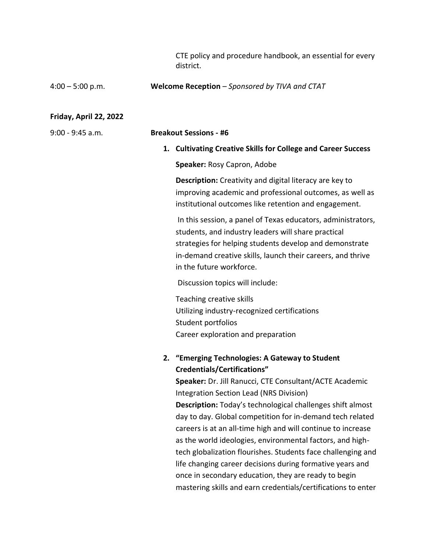CTE policy and procedure handbook, an essential for every district.

#### 4:00 – 5:00 p.m. **Welcome Reception** *– Sponsored by TIVA and CTAT*

#### **Friday, April 22, 2022**

9:00 - 9:45 a.m. **Breakout Sessions - #6**

**1. Cultivating Creative Skills for College and Career Success**

**Speaker:** Rosy Capron, Adobe

**Description:** Creativity and digital literacy are key to improving academic and professional outcomes, as well as institutional outcomes like retention and engagement.

In this session, a panel of Texas educators, administrators, students, and industry leaders will share practical strategies for helping students develop and demonstrate in-demand creative skills, launch their careers, and thrive in the future workforce.

Discussion topics will include:

Teaching creative skills Utilizing industry-recognized certifications Student portfolios Career exploration and preparation

# **2. "Emerging Technologies: A Gateway to Student Credentials/Certifications"**

**Speaker:** Dr. Jill Ranucci, CTE Consultant/ACTE Academic Integration Section Lead (NRS Division) **Description:** Today's technological challenges shift almost day to day. Global competition for in-demand tech related careers is at an all-time high and will continue to increase as the world ideologies, environmental factors, and hightech globalization flourishes. Students face challenging and life changing career decisions during formative years and once in secondary education, they are ready to begin mastering skills and earn credentials/certifications to enter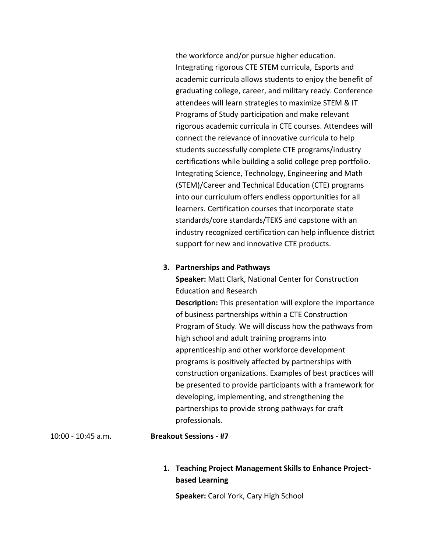the workforce and/or pursue higher education. Integrating rigorous CTE STEM curricula, Esports and academic curricula allows students to enjoy the benefit of graduating college, career, and military ready. Conference attendees will learn strategies to maximize STEM & IT Programs of Study participation and make relevant rigorous academic curricula in CTE courses. Attendees will connect the relevance of innovative curricula to help students successfully complete CTE programs/industry certifications while building a solid college prep portfolio. Integrating Science, Technology, Engineering and Math (STEM)/Career and Technical Education (CTE) programs into our curriculum offers endless opportunities for all learners. Certification courses that incorporate state standards/core standards/TEKS and capstone with an industry recognized certification can help influence district support for new and innovative CTE products.

#### **3. Partnerships and Pathways**

**Speaker:** Matt Clark, National Center for Construction Education and Research

**Description:** This presentation will explore the importance of business partnerships within a CTE Construction Program of Study. We will discuss how the pathways from high school and adult training programs into apprenticeship and other workforce development programs is positively affected by partnerships with construction organizations. Examples of best practices will be presented to provide participants with a framework for developing, implementing, and strengthening the partnerships to provide strong pathways for craft professionals.

#### 10:00 - 10:45 a.m. **Breakout Sessions - #7**

# **1. Teaching Project Management Skills to Enhance Projectbased Learning**

**Speaker:** Carol York, Cary High School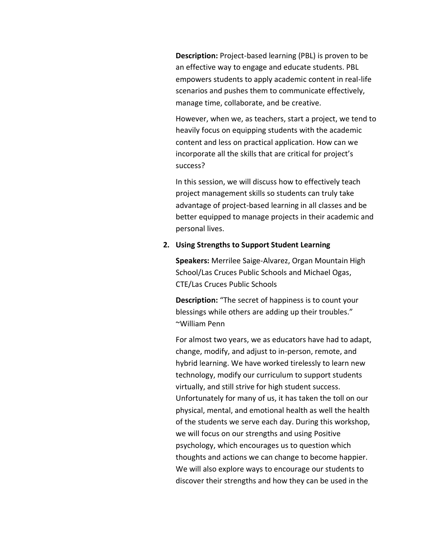**Description:** Project-based learning (PBL) is proven to be an effective way to engage and educate students. PBL empowers students to apply academic content in real-life scenarios and pushes them to communicate effectively, manage time, collaborate, and be creative.

However, when we, as teachers, start a project, we tend to heavily focus on equipping students with the academic content and less on practical application. How can we incorporate all the skills that are critical for project's success?

In this session, we will discuss how to effectively teach project management skills so students can truly take advantage of project-based learning in all classes and be better equipped to manage projects in their academic and personal lives.

#### **2. Using Strengths to Support Student Learning**

**Speakers:** Merrilee Saige-Alvarez, Organ Mountain High School/Las Cruces Public Schools and Michael Ogas, CTE/Las Cruces Public Schools

**Description:** "The secret of happiness is to count your blessings while others are adding up their troubles." ~William Penn

For almost two years, we as educators have had to adapt, change, modify, and adjust to in-person, remote, and hybrid learning. We have worked tirelessly to learn new technology, modify our curriculum to support students virtually, and still strive for high student success. Unfortunately for many of us, it has taken the toll on our physical, mental, and emotional health as well the health of the students we serve each day. During this workshop, we will focus on our strengths and using Positive psychology, which encourages us to question which thoughts and actions we can change to become happier. We will also explore ways to encourage our students to discover their strengths and how they can be used in the